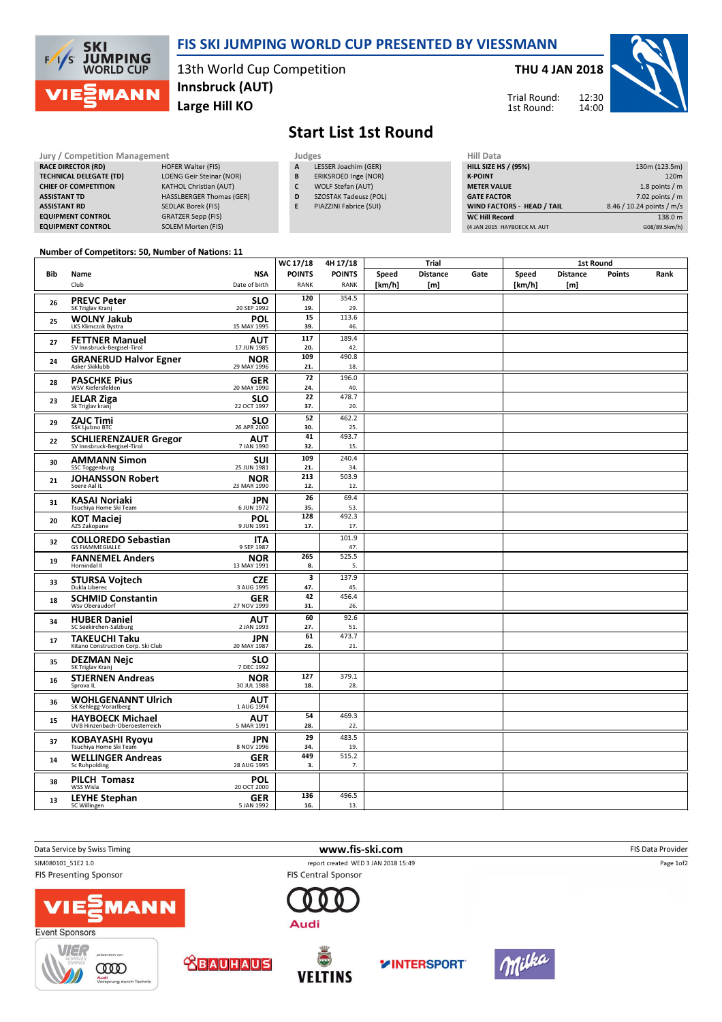

### FIS SKI JUMPING WORLD CUP PRESENTED BY VIESSMANN

13th World Cup Competition Large Hill KO Innsbruck (AUT)

### THU 4 JAN 2018





# Start List 1st Round

#### **RACE DIRECTOR (RD)** TECHNICAL DELEGATE ( CHIEF OF COMPETITION **ASSISTANT TD ASSISTANT RD EQUIPMENT CONTROL EQUIPMENT CONTROL**

| Jury / Competition Management  |                                 | Judges                     | Hill D         |
|--------------------------------|---------------------------------|----------------------------|----------------|
| <b>RACE DIRECTOR (RD)</b>      | <b>HOFER Walter (FIS)</b>       | LESSER Joachim (GER)<br>A  | <b>HILL SI</b> |
| <b>TECHNICAL DELEGATE (TD)</b> | <b>LOENG Geir Steinar (NOR)</b> | ERIKSROED Inge (NOR)<br>B  | <b>K-POII</b>  |
| <b>CHIEF OF COMPETITION</b>    | <b>KATHOL Christian (AUT)</b>   | <b>WOLF Stefan (AUT)</b>   | <b>METER</b>   |
| <b>ASSISTANT TD</b>            | HASSLBERGER Thomas (GER)        | SZOSTAK Tadeusz (POL)<br>D | <b>GATE</b>    |
| <b>ASSISTANT RD</b>            | <b>SEDLAK Borek (FIS)</b>       | PIAZZINI Fabrice (SUI)     | <b>WIND</b>    |
| <b>EQUIPMENT CONTROL</b>       | <b>GRATZER Sepp (FIS)</b>       |                            | WC Hi          |
| <b>EQUIPMENT CONTROL</b>       | <b>SOLEM Morten (FIS)</b>       |                            | $(4$ JAN $2$   |

- **LESSER Joachim (GER)**
- B ERIKSROED Inge (NOR)
- C WOLF Stefan (AUT)
- D SZOSTAK Tadeusz (POL)
- E PIAZZINI Fabrice (SUI)

| HIII Data                   |                           |
|-----------------------------|---------------------------|
| <b>HILL SIZE HS / (95%)</b> | 130m (123.5m)             |
| <b>K-POINT</b>              | 120 <sub>m</sub>          |
| <b>METER VALUE</b>          | 1.8 points / m            |
| <b>GATE FACTOR</b>          | $7.02$ points / m         |
| WIND FACTORS - HEAD / TAIL  | 8.46 / 10.24 points / m/s |
| <b>WC Hill Record</b>       | 138.0 m                   |
| (4 JAN 2015 HAYBOECK M. AUT | G08/89.5km/h)             |

#### Number of Competitors: 50, Number of Nations: 11  $\overline{1}$

|     |                                                      |                           | WC 17/18                | 4H 17/18      | <b>Trial</b> |                 |      | <b>1st Round</b> |                 |               |      |
|-----|------------------------------------------------------|---------------------------|-------------------------|---------------|--------------|-----------------|------|------------------|-----------------|---------------|------|
| Bib | Name                                                 | <b>NSA</b>                | <b>POINTS</b>           | <b>POINTS</b> | Speed        | <b>Distance</b> | Gate | Speed            | <b>Distance</b> | <b>Points</b> | Rank |
|     | Club                                                 | Date of birth             | <b>RANK</b>             | <b>RANK</b>   | [km/h]       | [m]             |      | [km/h]           | [m]             |               |      |
| 26  | <b>PREVC Peter</b>                                   | <b>SLO</b>                | 120                     | 354.5         |              |                 |      |                  |                 |               |      |
|     | SK Triglav Kranj                                     | 20 SEP 1992               | 19.                     | 29.           |              |                 |      |                  |                 |               |      |
| 25  | <b>WOLNY Jakub</b><br>LKS Klimczok Bystra            | <b>POL</b><br>15 MAY 1995 | 15<br>39.               | 113.6<br>46.  |              |                 |      |                  |                 |               |      |
|     |                                                      |                           | 117                     | 189.4         |              |                 |      |                  |                 |               |      |
| 27  | <b>FETTNER Manuel</b><br>SV Innsbruck-Bergisel-Tirol | <b>AUT</b><br>17 JUN 1985 | 20.                     | 42.           |              |                 |      |                  |                 |               |      |
| 24  | <b>GRANERUD Halvor Egner</b>                         | <b>NOR</b>                | 109                     | 490.8         |              |                 |      |                  |                 |               |      |
|     | Asker Skiklubb                                       | 29 MAY 1996               | 21.                     | 18.           |              |                 |      |                  |                 |               |      |
| 28  | <b>PASCHKE Pius</b>                                  | <b>GER</b>                | 72                      | 196.0         |              |                 |      |                  |                 |               |      |
|     | WSV Kiefersfelden                                    | 20 MAY 1990               | 24.<br>22               | 40.<br>478.7  |              |                 |      |                  |                 |               |      |
| 23  | <b>JELAR Ziga</b><br>Sk Triglav kranj                | <b>SLO</b><br>22 OCT 1997 | 37.                     | 20.           |              |                 |      |                  |                 |               |      |
|     | <b>ZAJC Timi</b>                                     | <b>SLO</b>                | 52                      | 462.2         |              |                 |      |                  |                 |               |      |
| 29  | SSK Ljubno BTC                                       | 26 APR 2000               | 30.                     | 25.           |              |                 |      |                  |                 |               |      |
| 22  | <b>SCHLIERENZAUER Gregor</b>                         | AUT                       | 41                      | 493.7         |              |                 |      |                  |                 |               |      |
|     | SV Innsbruck-Bergisel-Tirol                          | 7 JAN 1990                | 32.                     | 15.           |              |                 |      |                  |                 |               |      |
| 30  | <b>AMMANN Simon</b><br><b>SSC Toggenburg</b>         | <b>SUI</b><br>25 JUN 1981 | 109<br>21.              | 240.4<br>34.  |              |                 |      |                  |                 |               |      |
|     | <b>JOHANSSON Robert</b>                              | <b>NOR</b>                | 213                     | 503.9         |              |                 |      |                  |                 |               |      |
| 21  | Soere Aal IL                                         | 23 MAR 1990               | 12.                     | 12.           |              |                 |      |                  |                 |               |      |
|     | <b>KASAI Noriaki</b>                                 | <b>JPN</b>                | 26                      | 69.4          |              |                 |      |                  |                 |               |      |
| 31  | Tsuchiya Home Ski Team                               | 6 JUN 1972                | 35.                     | 53.           |              |                 |      |                  |                 |               |      |
| 20  | <b>KOT Maciej</b>                                    | <b>POL</b>                | 128                     | 492.3         |              |                 |      |                  |                 |               |      |
|     | AZS Zakopane                                         | 9 JUN 1991                | 17.                     | 17.           |              |                 |      |                  |                 |               |      |
| 32  | <b>COLLOREDO Sebastian</b><br><b>GS FIAMMEGIALLE</b> | <b>ITA</b><br>9 SEP 1987  |                         | 101.9<br>47.  |              |                 |      |                  |                 |               |      |
| 19  | <b>FANNEMEL Anders</b>                               | <b>NOR</b>                | 265                     | 525.5         |              |                 |      |                  |                 |               |      |
|     | Hornindal II                                         | 13 MAY 1991               | 8.                      | 5.            |              |                 |      |                  |                 |               |      |
| 33  | <b>STURSA Vojtech</b><br>Dukla Liberec               | <b>CZE</b>                | $\overline{\mathbf{3}}$ | 137.9         |              |                 |      |                  |                 |               |      |
|     |                                                      | 3 AUG 1995                | 47.<br>42               | 45.<br>456.4  |              |                 |      |                  |                 |               |      |
| 18  | <b>SCHMID Constantin</b><br>Wsv Oberaudorf           | <b>GER</b><br>27 NOV 1999 | 31.                     | 26.           |              |                 |      |                  |                 |               |      |
|     |                                                      |                           | 60                      | 92.6          |              |                 |      |                  |                 |               |      |
| 34  | <b>HUBER Daniel</b><br>SC Seekirchen-Salzburg        | <b>AUT</b><br>2 JAN 1993  | 27.                     | 51.           |              |                 |      |                  |                 |               |      |
| 17  | TAKEUCHI Taku                                        | <b>JPN</b>                | 61                      | 473.7         |              |                 |      |                  |                 |               |      |
|     | Kitano Construction Corp. Ski Club                   | 20 MAY 1987               | 26.                     | 21.           |              |                 |      |                  |                 |               |      |
| 35  | <b>DEZMAN Nejc</b>                                   | <b>SLO</b>                |                         |               |              |                 |      |                  |                 |               |      |
|     | SK Triglav Kranj                                     | 7 DEC 1992<br><b>NOR</b>  | 127                     | 379.1         |              |                 |      |                  |                 |               |      |
| 16  | <b>STJERNEN Andreas</b><br>Sprova IL                 | 30 JUL 1988               | 18.                     | 28.           |              |                 |      |                  |                 |               |      |
| 36  | <b>WOHLGENANNT Ulrich</b>                            | <b>AUT</b>                |                         |               |              |                 |      |                  |                 |               |      |
|     | SK Kehlegg-Vorarlberg                                | 1 AUG 1994                |                         |               |              |                 |      |                  |                 |               |      |
| 15  | <b>HAYBOECK Michael</b>                              | <b>AUT</b>                | 54                      | 469.3         |              |                 |      |                  |                 |               |      |
|     | UVB Hinzenbach-Oberoesterreich                       | 5 MAR 1991                | 28.<br>29               | 22.           |              |                 |      |                  |                 |               |      |
| 37  | <b>KOBAYASHI Ryoyu</b><br>Tsuchiya Home Ski Team     | <b>JPN</b><br>8 NOV 1996  | 34.                     | 483.5<br>19.  |              |                 |      |                  |                 |               |      |
|     | <b>WELLINGER Andreas</b>                             | <b>GER</b>                | 449                     | 515.2         |              |                 |      |                  |                 |               |      |
| 14  | Sc Ruhpolding                                        | 28 AUG 1995               | 3.                      | 7.            |              |                 |      |                  |                 |               |      |
| 38  | PILCH Tomasz                                         | <b>POL</b><br>20 OCT 2000 |                         |               |              |                 |      |                  |                 |               |      |
|     | WSS Wisla                                            |                           |                         |               |              |                 |      |                  |                 |               |      |
| 13  | <b>LEYHE Stephan</b><br>SC Willingen                 | <b>GER</b><br>5 JAN 1992  | 136<br>16.              | 496.5<br>13.  |              |                 |      |                  |                 |               |      |
|     |                                                      |                           |                         |               |              |                 |      |                  |                 |               |      |











Audi